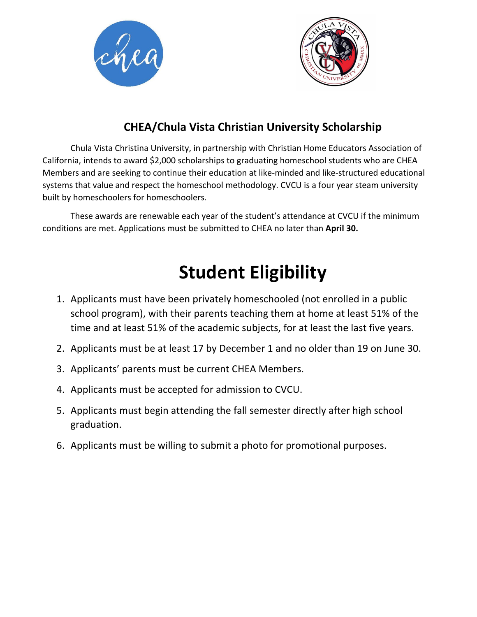



### **CHEA/Chula Vista Christian University Scholarship**

Chula Vista Christina University, in partnership with Christian Home Educators Association of California, intends to award \$2,000 scholarships to graduating homeschool students who are CHEA Members and are seeking to continue their education at like-minded and like-structured educational systems that value and respect the homeschool methodology. CVCU is a four year steam university built by homeschoolers for homeschoolers.

These awards are renewable each year of the student's attendance at CVCU if the minimum conditions are met. Applications must be submitted to CHEA no later than **April 30.**

## **Student Eligibility**

- 1. Applicants must have been privately homeschooled (not enrolled in a public school program), with their parents teaching them at home at least 51% of the time and at least 51% of the academic subjects, for at least the last five years.
- 2. Applicants must be at least 17 by December 1 and no older than 19 on June 30.
- 3. Applicants' parents must be current CHEA Members.
- 4. Applicants must be accepted for admission to CVCU.
- 5. Applicants must begin attending the fall semester directly after high school graduation.
- 6. Applicants must be willing to submit a photo for promotional purposes.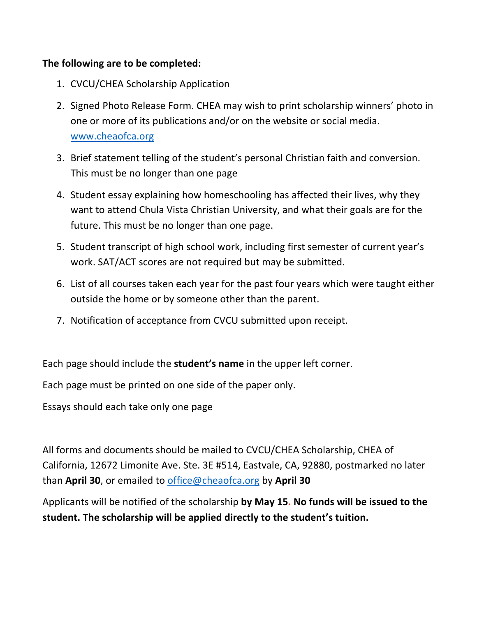#### **The following are to be completed:**

- 1. CVCU/CHEA Scholarship Application
- 2. Signed Photo Release Form. CHEA may wish to print scholarship winners' photo in one or more of its publications and/or on the website or social media. www.cheaofca.org
- 3. Brief statement telling of the student's personal Christian faith and conversion. This must be no longer than one page
- 4. Student essay explaining how homeschooling has affected their lives, why they want to attend Chula Vista Christian University, and what their goals are for the future. This must be no longer than one page.
- 5. Student transcript of high school work, including first semester of current year's work. SAT/ACT scores are not required but may be submitted.
- 6. List of all courses taken each year for the past four years which were taught either outside the home or by someone other than the parent.
- 7. Notification of acceptance from CVCU submitted upon receipt.

Each page should include the **student's name** in the upper left corner.

Each page must be printed on one side of the paper only.

Essays should each take only one page

All forms and documents should be mailed to CVCU/CHEA Scholarship, CHEA of California, 12672 Limonite Ave. Ste. 3E #514, Eastvale, CA, 92880, postmarked no later than **April 30**, or emailed to office@cheaofca.org by **April 30**

Applicants will be notified of the scholarship **by May 15. No funds will be issued to the student. The scholarship will be applied directly to the student's tuition.**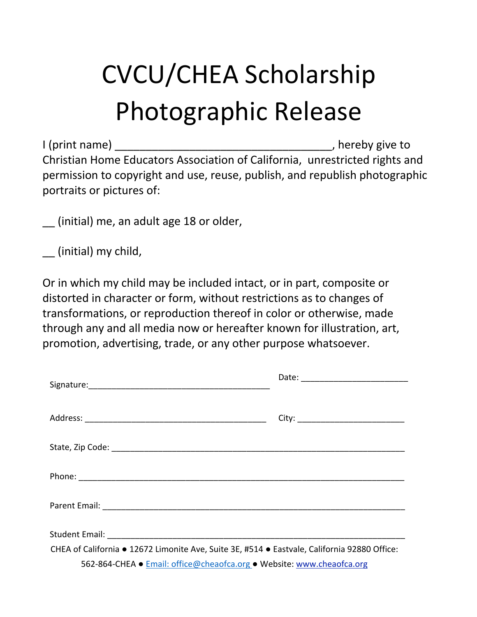# CVCU/CHEA Scholarship Photographic Release

I (print name) and in the same of the state of the state of the state of the state of the state of the state o Christian Home Educators Association of California, unrestricted rights and permission to copyright and use, reuse, publish, and republish photographic portraits or pictures of:

\_\_ (initial) me, an adult age 18 or older,

\_\_ (initial) my child,

Or in which my child may be included intact, or in part, composite or distorted in character or form, without restrictions as to changes of transformations, or reproduction thereof in color or otherwise, made through any and all media now or hereafter known for illustration, art, promotion, advertising, trade, or any other purpose whatsoever.

| CHEA of California • 12672 Limonite Ave, Suite 3E, #514 • Eastvale, California 92880 Office: |  |  |  |  |  |
|----------------------------------------------------------------------------------------------|--|--|--|--|--|
| 562-864-CHEA · Email: office@cheaofca.org · Website: www.cheaofca.org                        |  |  |  |  |  |